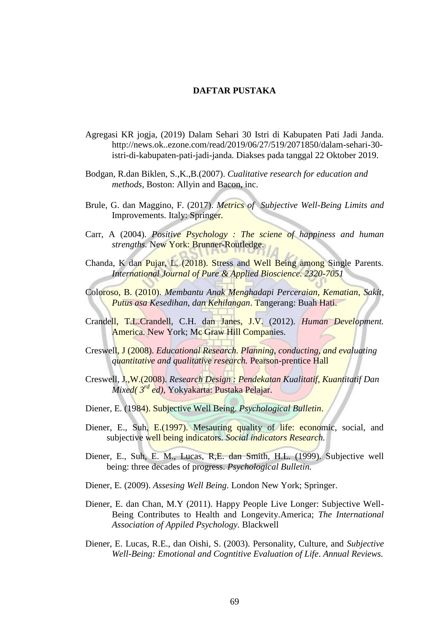## **DAFTAR PUSTAKA**

- Agregasi KR jogja, (2019) Dalam Sehari 30 Istri di Kabupaten Pati Jadi Janda. http://news.ok..ezone.com/read/2019/06/27/519/2071850/dalam-sehari-30 istri-di-kabupaten-pati-jadi-janda. Diakses pada tanggal 22 Oktober 2019.
- Bodgan, R.dan Biklen, S.,K.,B.(2007). *Cualitative research for education and methods,* Boston: Allyin and Bacon, inc.
- Brule, G. dan Maggino, F. (2017). *Metrics of Subjective Well-Being Limits and*  Improvements. Italy: Springer*.*
- Carr, A (2004). *Positive Psychology : The sciene of happiness and human strengths.* New York: Brunner-Routledge.
- Chanda, K dan Pujar, L. (2018). Stress and Well Being among Single Parents. *International Journal of Pure & Applied Bioscience. 2320-7051*
- Coloroso, B. (2010). *Membantu Anak Menghadapi Perceraian, Kematian, Sakit, Putus asa Kesedihan, dan Kehilangan*. Tangerang: Buah Hati.
- Crandell, T.L.Crandell, C.H. dan Janes, J.V. (2012). *Human Development.*  America. New York; Mc Graw Hill Companies.
- Creswell, J (2008). *Educational Research. Planning, conducting, and evaluating quantitative and qualitative research.* Pearson-prentice Hall
- Creswell, J.,W.(2008). *Research Design : Pendekatan Kualitatif, Kuantitatif Dan Mixed( 3rd ed),* Yokyakarta: Pustaka Pelajar.
- Diener, E. (1984). Subjective Well Being. *Psychological Bulletin*.
- Diener, E., Suh, E. (1997). Mesauring quality of life: economic, social, and subjective well being indicators. *Social indicators Research.*
- Diener, E., Suh, E. M., Lucas, R,E. dan Smith, H.L. (1999). Subjective well being: three decades of progress. *Psychological Bulletin.*
- Diener, E. (2009). *Assesing Well Being*. London New York; Springer.
- Diener, E. dan Chan, M.Y (2011). Happy People Live Longer: Subjective Well-Being Contributes to Health and Longevity.America; *The International Association of Appiled Psychology.* Blackwell
- Diener, E. Lucas, R.E., dan Oishi, S. (2003). Personality, Culture, and *Subjective Well-Being: Emotional and Cogntitive Evaluation of Life*. *Annual Reviews.*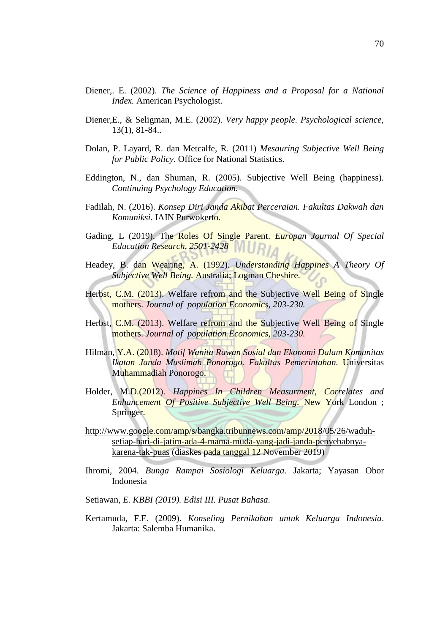- Diener,. E. (2002). *The Science of Happiness and a Proposal for a National Index.* American Psychologist.
- Diener,E., & Seligman, M.E. (2002). *Very happy people. Psychological science,* 13(1), 81-84..
- Dolan, P. Layard, R. dan Metcalfe, R. (2011) *Mesauring Subjective Well Being for Public Policy.* Office for National Statistics.
- Eddington, N., dan Shuman, R. (2005). Subjective Well Being (happiness). *Continuing Psychology Education.*
- Fadilah, N. (2016). *Konsep Diri Janda Akibat Perceraian. Fakultas Dakwah dan Komuniksi*. IAIN Purwokerto.
- Gading, L (2019). The Roles Of Single Parent. *Europan Journal Of Special Education Research, 2501-2428*
- Headey, B. dan Wearing, A. (1992). *Understanding Happines A Theory Of Subjective Well Being.* Australia; Logman Cheshire.
- Herbst, C.M. (2013). Welfare refrom and the Subjective Well Being of Single mothers. *Journal of population Economics, 203-230.*
- Herbst, C.M. (2013). Welfare refrom and the Subjective Well Being of Single mothers. *Journal of population Economics, 203-230.*
- Hilman, Y.A. (2018). *Motif Wanita Rawan Sosial dan Ekonomi Dalam Komunitas Ikatan Janda Muslimah Ponorogo. Fakultas Pemerintahan.* Universitas Muhammadiah Ponorogo.
- Holder, M.D.(2012). *Happines In Children Measurment, Correlates and Enhancement Of Positive Subjective Well Being.* New York London ; Springer.
- [http://www.google.com/amp/s/bangka.tribunnews.com/amp/2018/05/26/waduh](http://www.google.com/amp/s/bangka.tribunnews.com/amp/2018/05/26/waduh-setiap-hari-di-jatim-ada-4-mama-muda-yang-jadi-janda-penyebabnya-karena-tak-puas)[setiap-hari-di-jatim-ada-4-mama-muda-yang-jadi-janda-penyebabnya](http://www.google.com/amp/s/bangka.tribunnews.com/amp/2018/05/26/waduh-setiap-hari-di-jatim-ada-4-mama-muda-yang-jadi-janda-penyebabnya-karena-tak-puas)[karena-tak-puas](http://www.google.com/amp/s/bangka.tribunnews.com/amp/2018/05/26/waduh-setiap-hari-di-jatim-ada-4-mama-muda-yang-jadi-janda-penyebabnya-karena-tak-puas) (diaskes pada tanggal 12 November 2019)
- Ihromi, 2004. *Bunga Rampai Sosiologi Keluarga.* Jakarta; Yayasan Obor Indonesia
- Setiawan*, E. KBBI (2019). Edisi III. Pusat Bahasa.*
- Kertamuda, F.E. (2009). *Konseling Pernikahan untuk Keluarga Indonesia*. Jakarta: Salemba Humanika.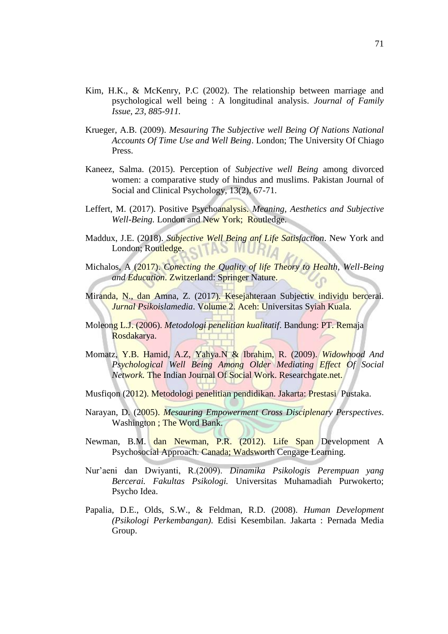- Kim, H.K., & McKenry, P.C (2002). The relationship between marriage and psychological well being : A longitudinal analysis. *Journal of Family Issue, 23, 885-911.*
- Krueger, A.B. (2009). *Mesauring The Subjective well Being Of Nations National Accounts Of Time Use and Well Being*. London; The University Of Chiago Press.
- Kaneez, Salma. (2015). Perception of *Subjective well Being* among divorced women: a comparative study of hindus and muslims. Pakistan Journal of Social and Clinical Psychology, 13(2), 67-71.
- Leffert, M. (2017). Positive Psychoanalysis. *Meaning, Aesthetics and Subjective Well-Being.* London and New York; Routledge.
- Maddux, J.E. (2018). *Subjective Well Being anf Life Satisfaction*. New York and London; Routledge. **TAS MURIA**
- Michalos, A (2017). *Conecting the Quality of life Theory to Health, Well-Being and Education*. Zwitzerland: Springer Nature.
- Miranda, N., dan Amna, Z. (2017). Kesejahteraan Subjectiv individu bercerai. *Jurnal Psikoislamedia*. Volume 2. Aceh: Universitas Syiah Kuala.
- Moleong L.J. (2006). *Metodologi penelitian kualitatif*. Bandung: PT. Remaja Rosdakarya.
- Momatz, Y.B. Hamid, A.Z, Yahya.N & Ibrahim, R. (2009). *Widowhood And Psychological Well Being Among Older Mediating Effect Of Social Network.* The Indian Journal Of Social Work. Researchgate.net.
- Musfiqon (2012). Metodologi penelitian pendidikan. Jakarta: Prestasi Pustaka.
- Narayan, D. (2005). *Mesauring Empowerment Cross Disciplenary Perspectives*. Washington; The Word Bank.
- Newman, B.M. dan Newman, P.R. (2012). Life Span Development A Psychosocial Approach. Canada; Wadsworth Cengage Learning.
- Nur'aeni dan Dwiyanti, R.(2009). *Dinamika Psikologis Perempuan yang Bercerai. Fakultas Psikologi.* Universitas Muhamadiah Purwokerto; Psycho Idea.
- Papalia, D.E., Olds, S.W., & Feldman, R.D. (2008). *Human Development (Psikologi Perkembangan)*. Edisi Kesembilan. Jakarta : Pernada Media Group.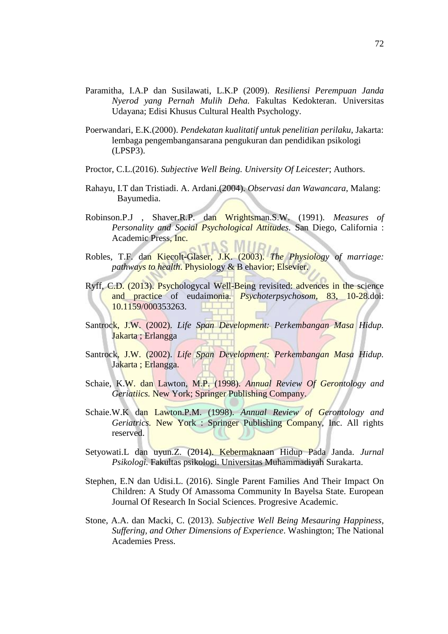- Paramitha, I.A.P dan Susilawati, L.K.P (2009). *Resiliensi Perempuan Janda Nyerod yang Pernah Mulih Deha.* Fakultas Kedokteran. Universitas Udayana; Edisi Khusus Cultural Health Psychology.
- Poerwandari, E.K.(2000). *Pendekatan kualitatif untuk penelitian perilaku*, Jakarta: lembaga pengembangansarana pengukuran dan pendidikan psikologi (LPSP3).
- Proctor, C.L.(2016). *Subjective Well Being. University Of Leicester*; Authors.
- Rahayu, I.T dan Tristiadi. A. Ardani.(2004). *Observasi dan Wawancara*, Malang: Bayumedia.
- Robinson.P.J , Shaver.R.P. dan Wrightsman.S.W. (1991). *Measures of Personality and Social Psychological Attitudes.* San Diego, California : Academic Press, Inc. **TAS MILL**
- Robles, T.F. dan Kiecolt-Glaser, J.K. (2003). *The Physiology of marriage: pathways to health*. Physiology & B ehavior; Elsevier.
- Ryff, C.D. (2013). Psychologycal Well-Being revisited: advences in the science and practice of eudaimonia*. Psychoterpsychosom,* 83, 10-28.doi: 10.1159/000353263.
- Santrock, J.W. (2002). *Life Span Development: Perkembangan Masa Hidup.* Jakarta ; Erlangga
- Santrock, J.W. (2002). *Life Span Development: Perkembangan Masa Hidup.* Jakarta; Erlangga.
- Schaie, K.W. dan Lawton, M.P. (1998). *Annual Review Of Gerontology and Geriatiics.* New York; Springer Publishing Company.
- Schaie.W.K dan Lawton.P.M. (1998). *Annual Review of Gerontology and Geriatrics.* New York : Springer Publishing Company, Inc. All rights reserved.
- Setyowati.L dan uyun.Z. (2014). Kebermaknaan Hidup Pada Janda. *Jurnal Psikologi.* Fakultas psikologi. Universitas Muhammadiyah Surakarta.
- Stephen, E.N dan Udisi.L. (2016). Single Parent Families And Their Impact On Children: A Study Of Amassoma Community In Bayelsa State. European Journal Of Research In Social Sciences. Progresive Academic.
- Stone, A.A. dan Macki, C. (2013). *Subjective Well Being Mesauring Happiness, Suffering, and Other Dimensions of Experience*. Washington; The National Academies Press.